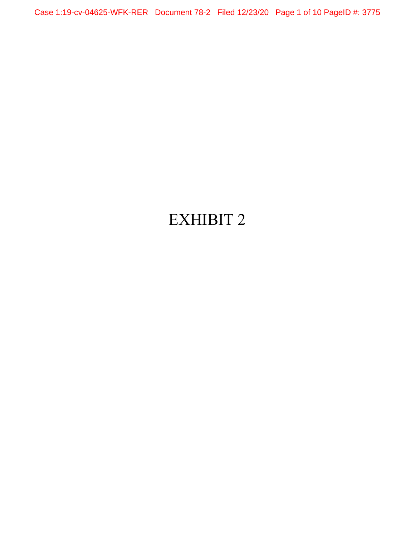Case 1:19-cv-04625-WFK-RER Document 78-2 Filed 12/23/20 Page 1 of 10 PageID #: 3775

# EXHIBIT 2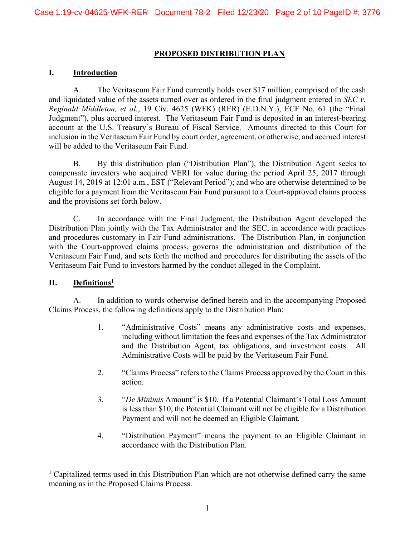#### **PROPOSED DISTRIBUTION PLAN**

#### **I. Introduction**

A. The Veritaseum Fair Fund currently holds over \$17 million, comprised of the cash and liquidated value of the assets turned over as ordered in the final judgment entered in *SEC v. Reginald Middleton, et al.*, 19 Civ. 4625 (WFK) (RER) (E.D.N.Y.), ECF No. 61 (the "Final Judgment"), plus accrued interest. The Veritaseum Fair Fund is deposited in an interest-bearing account at the U.S. Treasury's Bureau of Fiscal Service. Amounts directed to this Court for inclusion in the Veritaseum Fair Fund by court order, agreement, or otherwise, and accrued interest will be added to the Veritaseum Fair Fund.

B. By this distribution plan ("Distribution Plan"), the Distribution Agent seeks to compensate investors who acquired VERI for value during the period April 25, 2017 through August 14, 2019 at 12:01 a.m., EST ("Relevant Period"); and who are otherwise determined to be eligible for a payment from the Veritaseum Fair Fund pursuant to a Court-approved claims process and the provisions set forth below.

C. In accordance with the Final Judgment, the Distribution Agent developed the Distribution Plan jointly with the Tax Administrator and the SEC, in accordance with practices and procedures customary in Fair Fund administrations. The Distribution Plan, in conjunction with the Court-approved claims process, governs the administration and distribution of the Veritaseum Fair Fund, and sets forth the method and procedures for distributing the assets of the Veritaseum Fair Fund to investors harmed by the conduct alleged in the Complaint.

## **II. Definitions1**

l

A. In addition to words otherwise defined herein and in the accompanying Proposed Claims Process, the following definitions apply to the Distribution Plan:

- 1. "Administrative Costs" means any administrative costs and expenses, including without limitation the fees and expenses of the Tax Administrator and the Distribution Agent, tax obligations, and investment costs. All Administrative Costs will be paid by the Veritaseum Fair Fund.
- 2. "Claims Process" refers to the Claims Process approved by the Court in this action.
- 3. "*De Minimis* Amount" is \$10. If a Potential Claimant's Total Loss Amount is less than \$10, the Potential Claimant will not be eligible for a Distribution Payment and will not be deemed an Eligible Claimant.
- 4. "Distribution Payment" means the payment to an Eligible Claimant in accordance with the Distribution Plan.

<sup>&</sup>lt;sup>1</sup> Capitalized terms used in this Distribution Plan which are not otherwise defined carry the same meaning as in the Proposed Claims Process.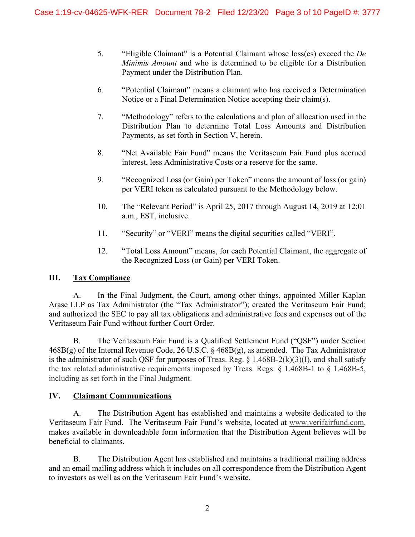- 5. "Eligible Claimant" is a Potential Claimant whose loss(es) exceed the *De Minimis Amount* and who is determined to be eligible for a Distribution Payment under the Distribution Plan.
- 6. "Potential Claimant" means a claimant who has received a Determination Notice or a Final Determination Notice accepting their claim(s).
- 7. "Methodology" refers to the calculations and plan of allocation used in the Distribution Plan to determine Total Loss Amounts and Distribution Payments, as set forth in Section V, herein.
- 8. "Net Available Fair Fund" means the Veritaseum Fair Fund plus accrued interest, less Administrative Costs or a reserve for the same.
- 9. "Recognized Loss (or Gain) per Token" means the amount of loss (or gain) per VERI token as calculated pursuant to the Methodology below.
- 10. The "Relevant Period" is April 25, 2017 through August 14, 2019 at 12:01 a.m., EST, inclusive.
- 11. "Security" or "VERI" means the digital securities called "VERI".
- 12. "Total Loss Amount" means, for each Potential Claimant, the aggregate of the Recognized Loss (or Gain) per VERI Token.

# **III. Tax Compliance**

A. In the Final Judgment, the Court, among other things, appointed Miller Kaplan Arase LLP as Tax Administrator (the "Tax Administrator"); created the Veritaseum Fair Fund; and authorized the SEC to pay all tax obligations and administrative fees and expenses out of the Veritaseum Fair Fund without further Court Order.

B. The Veritaseum Fair Fund is a Qualified Settlement Fund ("QSF") under Section 468B(g) of the Internal Revenue Code, 26 U.S.C. § 468B(g), as amended. The Tax Administrator is the administrator of such QSF for purposes of Treas. Reg.  $\S$  1.468B-2(k)(3)(I), and shall satisfy the tax related administrative requirements imposed by Treas. Regs. § 1.468B-1 to § 1.468B-5, including as set forth in the Final Judgment.

# **IV. Claimant Communications**

A. The Distribution Agent has established and maintains a website dedicated to the Veritaseum Fair Fund. The Veritaseum Fair Fund's website, located at www.verifairfund.com, makes available in downloadable form information that the Distribution Agent believes will be beneficial to claimants.

B. The Distribution Agent has established and maintains a traditional mailing address and an email mailing address which it includes on all correspondence from the Distribution Agent to investors as well as on the Veritaseum Fair Fund's website.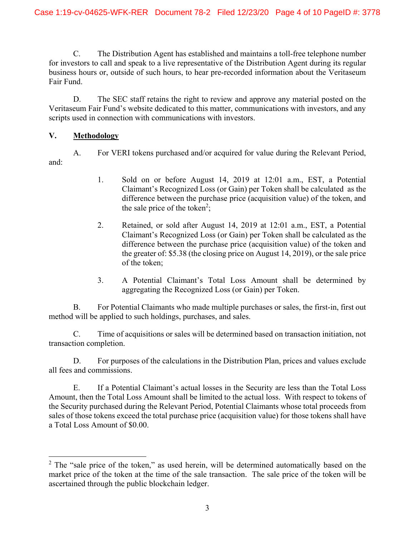C. The Distribution Agent has established and maintains a toll-free telephone number for investors to call and speak to a live representative of the Distribution Agent during its regular business hours or, outside of such hours, to hear pre-recorded information about the Veritaseum Fair Fund.

D. The SEC staff retains the right to review and approve any material posted on the Veritaseum Fair Fund's website dedicated to this matter, communications with investors, and any scripts used in connection with communications with investors.

## **V. Methodology**

l

A. For VERI tokens purchased and/or acquired for value during the Relevant Period, and:

- 1. Sold on or before August 14, 2019 at 12:01 a.m., EST, a Potential Claimant's Recognized Loss (or Gain) per Token shall be calculated as the difference between the purchase price (acquisition value) of the token, and the sale price of the token<sup>2</sup>;
- 2. Retained, or sold after August 14, 2019 at 12:01 a.m., EST, a Potential Claimant's Recognized Loss (or Gain) per Token shall be calculated as the difference between the purchase price (acquisition value) of the token and the greater of: \$5.38 (the closing price on August 14, 2019), or the sale price of the token;
- 3. A Potential Claimant's Total Loss Amount shall be determined by aggregating the Recognized Loss (or Gain) per Token.

B. For Potential Claimants who made multiple purchases or sales, the first-in, first out method will be applied to such holdings, purchases, and sales.

C. Time of acquisitions or sales will be determined based on transaction initiation, not transaction completion.

D. For purposes of the calculations in the Distribution Plan, prices and values exclude all fees and commissions.

E. If a Potential Claimant's actual losses in the Security are less than the Total Loss Amount, then the Total Loss Amount shall be limited to the actual loss. With respect to tokens of the Security purchased during the Relevant Period, Potential Claimants whose total proceeds from sales of those tokens exceed the total purchase price (acquisition value) for those tokens shall have a Total Loss Amount of \$0.00.

 $2$  The "sale price of the token," as used herein, will be determined automatically based on the market price of the token at the time of the sale transaction. The sale price of the token will be ascertained through the public blockchain ledger.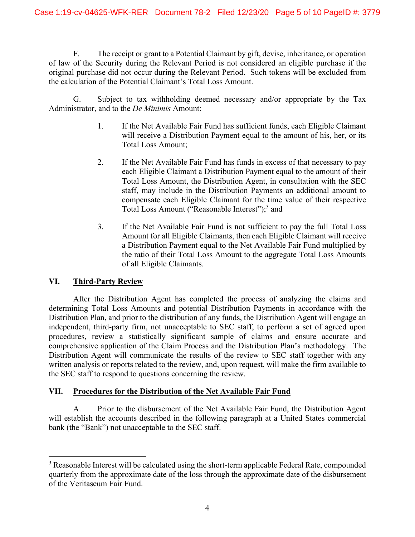F. The receipt or grant to a Potential Claimant by gift, devise, inheritance, or operation of law of the Security during the Relevant Period is not considered an eligible purchase if the original purchase did not occur during the Relevant Period. Such tokens will be excluded from the calculation of the Potential Claimant's Total Loss Amount.

G. Subject to tax withholding deemed necessary and/or appropriate by the Tax Administrator, and to the *De Minimis* Amount:

- 1. If the Net Available Fair Fund has sufficient funds, each Eligible Claimant will receive a Distribution Payment equal to the amount of his, her, or its Total Loss Amount;
- 2. If the Net Available Fair Fund has funds in excess of that necessary to pay each Eligible Claimant a Distribution Payment equal to the amount of their Total Loss Amount, the Distribution Agent, in consultation with the SEC staff, may include in the Distribution Payments an additional amount to compensate each Eligible Claimant for the time value of their respective Total Loss Amount ("Reasonable Interest");<sup>3</sup> and
- 3. If the Net Available Fair Fund is not sufficient to pay the full Total Loss Amount for all Eligible Claimants, then each Eligible Claimant will receive a Distribution Payment equal to the Net Available Fair Fund multiplied by the ratio of their Total Loss Amount to the aggregate Total Loss Amounts of all Eligible Claimants.

## **VI. Third-Party Review**

l

After the Distribution Agent has completed the process of analyzing the claims and determining Total Loss Amounts and potential Distribution Payments in accordance with the Distribution Plan, and prior to the distribution of any funds, the Distribution Agent will engage an independent, third-party firm, not unacceptable to SEC staff, to perform a set of agreed upon procedures, review a statistically significant sample of claims and ensure accurate and comprehensive application of the Claim Process and the Distribution Plan's methodology. The Distribution Agent will communicate the results of the review to SEC staff together with any written analysis or reports related to the review, and, upon request, will make the firm available to the SEC staff to respond to questions concerning the review.

## **VII. Procedures for the Distribution of the Net Available Fair Fund**

A. Prior to the disbursement of the Net Available Fair Fund, the Distribution Agent will establish the accounts described in the following paragraph at a United States commercial bank (the "Bank") not unacceptable to the SEC staff.

 $3$  Reasonable Interest will be calculated using the short-term applicable Federal Rate, compounded quarterly from the approximate date of the loss through the approximate date of the disbursement of the Veritaseum Fair Fund.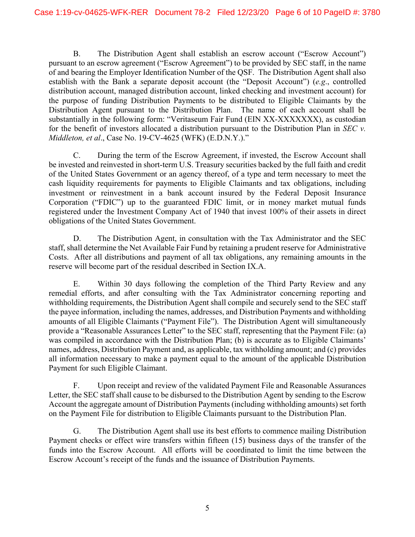B. The Distribution Agent shall establish an escrow account ("Escrow Account") pursuant to an escrow agreement ("Escrow Agreement") to be provided by SEC staff, in the name of and bearing the Employer Identification Number of the QSF. The Distribution Agent shall also establish with the Bank a separate deposit account (the "Deposit Account") (*e.g*., controlled distribution account, managed distribution account, linked checking and investment account) for the purpose of funding Distribution Payments to be distributed to Eligible Claimants by the Distribution Agent pursuant to the Distribution Plan. The name of each account shall be substantially in the following form: "Veritaseum Fair Fund (EIN XX-XXXXXXX), as custodian for the benefit of investors allocated a distribution pursuant to the Distribution Plan in *SEC v. Middleton, et al*., Case No. 19-CV-4625 (WFK) (E.D.N.Y.)."

C. During the term of the Escrow Agreement, if invested, the Escrow Account shall be invested and reinvested in short-term U.S. Treasury securities backed by the full faith and credit of the United States Government or an agency thereof, of a type and term necessary to meet the cash liquidity requirements for payments to Eligible Claimants and tax obligations, including investment or reinvestment in a bank account insured by the Federal Deposit Insurance Corporation ("FDIC") up to the guaranteed FDIC limit, or in money market mutual funds registered under the Investment Company Act of 1940 that invest 100% of their assets in direct obligations of the United States Government.

D. The Distribution Agent, in consultation with the Tax Administrator and the SEC staff, shall determine the Net Available Fair Fund by retaining a prudent reserve for Administrative Costs. After all distributions and payment of all tax obligations, any remaining amounts in the reserve will become part of the residual described in Section IX.A.

E. Within 30 days following the completion of the Third Party Review and any remedial efforts, and after consulting with the Tax Administrator concerning reporting and withholding requirements, the Distribution Agent shall compile and securely send to the SEC staff the payee information, including the names, addresses, and Distribution Payments and withholding amounts of all Eligible Claimants ("Payment File"). The Distribution Agent will simultaneously provide a "Reasonable Assurances Letter" to the SEC staff, representing that the Payment File: (a) was compiled in accordance with the Distribution Plan; (b) is accurate as to Eligible Claimants' names, address, Distribution Payment and, as applicable, tax withholding amount; and (c) provides all information necessary to make a payment equal to the amount of the applicable Distribution Payment for such Eligible Claimant.

F. Upon receipt and review of the validated Payment File and Reasonable Assurances Letter, the SEC staff shall cause to be disbursed to the Distribution Agent by sending to the Escrow Account the aggregate amount of Distribution Payments (including withholding amounts) set forth on the Payment File for distribution to Eligible Claimants pursuant to the Distribution Plan.

G. The Distribution Agent shall use its best efforts to commence mailing Distribution Payment checks or effect wire transfers within fifteen (15) business days of the transfer of the funds into the Escrow Account. All efforts will be coordinated to limit the time between the Escrow Account's receipt of the funds and the issuance of Distribution Payments.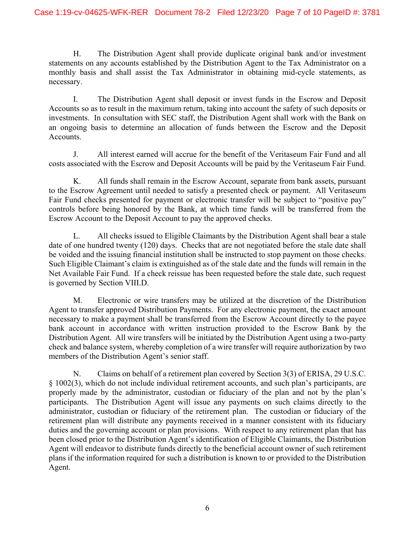H. The Distribution Agent shall provide duplicate original bank and/or investment statements on any accounts established by the Distribution Agent to the Tax Administrator on a monthly basis and shall assist the Tax Administrator in obtaining mid-cycle statements, as necessary.

I. The Distribution Agent shall deposit or invest funds in the Escrow and Deposit Accounts so as to result in the maximum return, taking into account the safety of such deposits or investments. In consultation with SEC staff, the Distribution Agent shall work with the Bank on an ongoing basis to determine an allocation of funds between the Escrow and the Deposit Accounts.

J. All interest earned will accrue for the benefit of the Veritaseum Fair Fund and all costs associated with the Escrow and Deposit Accounts will be paid by the Veritaseum Fair Fund.

K. All funds shall remain in the Escrow Account, separate from bank assets, pursuant to the Escrow Agreement until needed to satisfy a presented check or payment. All Veritaseum Fair Fund checks presented for payment or electronic transfer will be subject to "positive pay" controls before being honored by the Bank, at which time funds will be transferred from the Escrow Account to the Deposit Account to pay the approved checks.

L. All checks issued to Eligible Claimants by the Distribution Agent shall bear a stale date of one hundred twenty (120) days. Checks that are not negotiated before the stale date shall be voided and the issuing financial institution shall be instructed to stop payment on those checks. Such Eligible Claimant's claim is extinguished as of the stale date and the funds will remain in the Net Available Fair Fund. If a check reissue has been requested before the stale date, such request is governed by Section VIII.D.

M. Electronic or wire transfers may be utilized at the discretion of the Distribution Agent to transfer approved Distribution Payments. For any electronic payment, the exact amount necessary to make a payment shall be transferred from the Escrow Account directly to the payee bank account in accordance with written instruction provided to the Escrow Bank by the Distribution Agent. All wire transfers will be initiated by the Distribution Agent using a two-party check and balance system, whereby completion of a wire transfer will require authorization by two members of the Distribution Agent's senior staff.

N. Claims on behalf of a retirement plan covered by Section 3(3) of ERISA, 29 U.S.C. § 1002(3), which do not include individual retirement accounts, and such plan's participants, are properly made by the administrator, custodian or fiduciary of the plan and not by the plan's participants. The Distribution Agent will issue any payments on such claims directly to the administrator, custodian or fiduciary of the retirement plan. The custodian or fiduciary of the retirement plan will distribute any payments received in a manner consistent with its fiduciary duties and the governing account or plan provisions. With respect to any retirement plan that has been closed prior to the Distribution Agent's identification of Eligible Claimants, the Distribution Agent will endeavor to distribute funds directly to the beneficial account owner of such retirement plans if the information required for such a distribution is known to or provided to the Distribution Agent.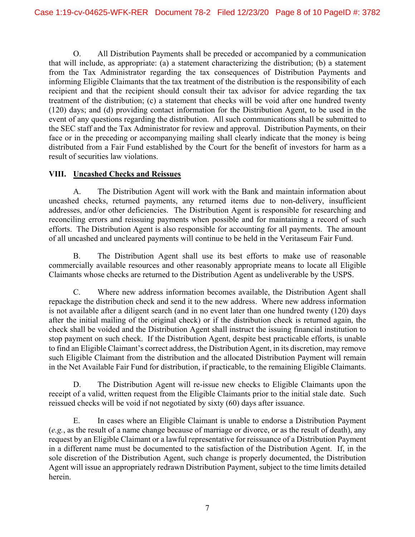O. All Distribution Payments shall be preceded or accompanied by a communication that will include, as appropriate: (a) a statement characterizing the distribution; (b) a statement from the Tax Administrator regarding the tax consequences of Distribution Payments and informing Eligible Claimants that the tax treatment of the distribution is the responsibility of each recipient and that the recipient should consult their tax advisor for advice regarding the tax treatment of the distribution; (c) a statement that checks will be void after one hundred twenty (120) days; and (d) providing contact information for the Distribution Agent, to be used in the event of any questions regarding the distribution. All such communications shall be submitted to the SEC staff and the Tax Administrator for review and approval. Distribution Payments, on their face or in the preceding or accompanying mailing shall clearly indicate that the money is being distributed from a Fair Fund established by the Court for the benefit of investors for harm as a result of securities law violations.

## **VIII. Uncashed Checks and Reissues**

A. The Distribution Agent will work with the Bank and maintain information about uncashed checks, returned payments, any returned items due to non-delivery, insufficient addresses, and/or other deficiencies. The Distribution Agent is responsible for researching and reconciling errors and reissuing payments when possible and for maintaining a record of such efforts. The Distribution Agent is also responsible for accounting for all payments. The amount of all uncashed and uncleared payments will continue to be held in the Veritaseum Fair Fund.

B. The Distribution Agent shall use its best efforts to make use of reasonable commercially available resources and other reasonably appropriate means to locate all Eligible Claimants whose checks are returned to the Distribution Agent as undeliverable by the USPS.

C. Where new address information becomes available, the Distribution Agent shall repackage the distribution check and send it to the new address. Where new address information is not available after a diligent search (and in no event later than one hundred twenty (120) days after the initial mailing of the original check) or if the distribution check is returned again, the check shall be voided and the Distribution Agent shall instruct the issuing financial institution to stop payment on such check. If the Distribution Agent, despite best practicable efforts, is unable to find an Eligible Claimant's correct address, the Distribution Agent, in its discretion, may remove such Eligible Claimant from the distribution and the allocated Distribution Payment will remain in the Net Available Fair Fund for distribution, if practicable, to the remaining Eligible Claimants.

D. The Distribution Agent will re-issue new checks to Eligible Claimants upon the receipt of a valid, written request from the Eligible Claimants prior to the initial stale date. Such reissued checks will be void if not negotiated by sixty (60) days after issuance.

E. In cases where an Eligible Claimant is unable to endorse a Distribution Payment (*e.g.*, as the result of a name change because of marriage or divorce, or as the result of death), any request by an Eligible Claimant or a lawful representative for reissuance of a Distribution Payment in a different name must be documented to the satisfaction of the Distribution Agent. If, in the sole discretion of the Distribution Agent, such change is properly documented, the Distribution Agent will issue an appropriately redrawn Distribution Payment, subject to the time limits detailed herein.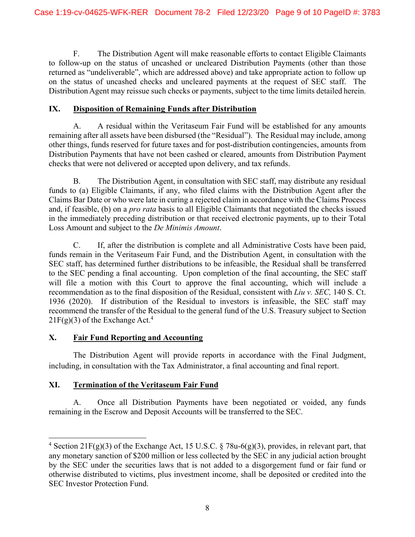F. The Distribution Agent will make reasonable efforts to contact Eligible Claimants to follow-up on the status of uncashed or uncleared Distribution Payments (other than those returned as "undeliverable", which are addressed above) and take appropriate action to follow up on the status of uncashed checks and uncleared payments at the request of SEC staff. The Distribution Agent may reissue such checks or payments, subject to the time limits detailed herein.

#### **IX. Disposition of Remaining Funds after Distribution**

A. A residual within the Veritaseum Fair Fund will be established for any amounts remaining after all assets have been disbursed (the "Residual"). The Residual may include, among other things, funds reserved for future taxes and for post-distribution contingencies, amounts from Distribution Payments that have not been cashed or cleared, amounts from Distribution Payment checks that were not delivered or accepted upon delivery, and tax refunds.

B. The Distribution Agent, in consultation with SEC staff, may distribute any residual funds to (a) Eligible Claimants, if any, who filed claims with the Distribution Agent after the Claims Bar Date or who were late in curing a rejected claim in accordance with the Claims Process and, if feasible, (b) on a *pro rata* basis to all Eligible Claimants that negotiated the checks issued in the immediately preceding distribution or that received electronic payments, up to their Total Loss Amount and subject to the *De Minimis Amount*.

C. If, after the distribution is complete and all Administrative Costs have been paid, funds remain in the Veritaseum Fair Fund, and the Distribution Agent, in consultation with the SEC staff, has determined further distributions to be infeasible, the Residual shall be transferred to the SEC pending a final accounting. Upon completion of the final accounting, the SEC staff will file a motion with this Court to approve the final accounting, which will include a recommendation as to the final disposition of the Residual, consistent with *Liu v. SEC,* 140 S. Ct. 1936 (2020). If distribution of the Residual to investors is infeasible, the SEC staff may recommend the transfer of the Residual to the general fund of the U.S. Treasury subject to Section  $21F(g)(3)$  of the Exchange Act.<sup>4</sup>

## **X. Fair Fund Reporting and Accounting**

The Distribution Agent will provide reports in accordance with the Final Judgment, including, in consultation with the Tax Administrator, a final accounting and final report.

## **XI. Termination of the Veritaseum Fair Fund**

 $\overline{\phantom{a}}$ 

A. Once all Distribution Payments have been negotiated or voided, any funds remaining in the Escrow and Deposit Accounts will be transferred to the SEC.

<sup>&</sup>lt;sup>4</sup> Section 21F(g)(3) of the Exchange Act, 15 U.S.C. § 78u-6(g)(3), provides, in relevant part, that any monetary sanction of \$200 million or less collected by the SEC in any judicial action brought by the SEC under the securities laws that is not added to a disgorgement fund or fair fund or otherwise distributed to victims, plus investment income, shall be deposited or credited into the SEC Investor Protection Fund.